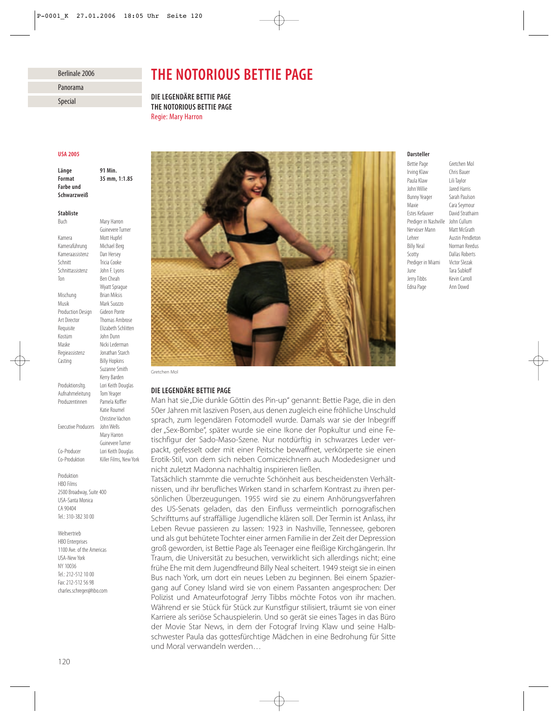#### Berlinale 2006

Panorama

Special

# *THE NOTORIOUS BETTIE PAGE*

*DIE LEGENDÄRE BETTIE PAGE THE NOTORIOUS BETTIE PAGE* Regie: Mary Harron

## *USA 2005*

*Farbe und Schwarzweiß*

*Länge 91 Min. Format 35 mm, 1:1.85*

#### *Stabliste*

Buch Mary Harron Guinevere Turner Kamera<br>Kameraführung Michael Berg Kameraführung Kameraassistenz Dan Hersey Schnitt Tricia Cooke Schnittassistenz John F. Lyons Ton Ben Cheah Wyatt Sprague Mischung Brian Miksis Musik Mark Suozzo Production Design Gideon Ponte Art Director Thomas Ambrose Requisite Elizabeth Schlitten Kostüm John Dunn Maske Nicki Lederman Regieassistenz Jonathan Starch Casting **Billy Hopkins** Suzanne Smith Kerry Barden Produktionsltg. Lori Keith Douglas Aufnahmeleitung Tom Yeager Produzentinnen Pamela Koffler Katie Roumel Christine Vachon Executive Producers John Wells Mary Harron Guinevere Turner Co-Producer Lori Keith Douglas Co-Produktion Killer Films, New York

Produktion HBO Films 2500 Broadway, Suite 400 USA-Santa Monica CA 90404 Tel.: 310-382 30 00

Weltvertrieb HRO Enterprises 1100 Ave. of the Americas USA-New York NY 10036 Tel.: 212-512 10 00 Fax: 212-512 56 98 charles.schreger@hbo.com



## *DIE LEGENDÄRE BETTIE PAGE*

Man hat sie "Die dunkle Göttin des Pin-up" genannt: Bettie Page, die in den 50er Jahren mit lasziven Posen, aus denen zugleich eine fröhliche Unschuld sprach, zum legendären Fotomodell wurde. Damals war sie der Inbegriff der "Sex-Bombe", später wurde sie eine Ikone der Popkultur und eine Fetischfigur der Sado-Maso-Szene. Nur notdürftig in schwarzes Leder verpackt, gefesselt oder mit einer Peitsche bewaffnet, verkörperte sie einen Erotik-Stil, von dem sich neben Comiczeichnern auch Modedesigner und nicht zuletzt Madonna nachhaltig inspirieren ließen.

Tatsächlich stammte die verruchte Schönheit aus bescheidensten Verhältnissen, und ihr berufliches Wirken stand in scharfem Kontrast zu ihren persönlichen Überzeugungen. 1955 wird sie zu einem Anhörungsverfahren des US-Senats geladen, das den Einfluss vermeintlich pornografischen Schrifttums auf straffällige Jugendliche klären soll. Der Termin ist Anlass, ihr Leben Revue passieren zu lassen: 1923 in Nashville, Tennessee, geboren und als gut behütete Tochter einer armen Familie in der Zeit der Depression groß geworden, ist Bettie Page als Teenager eine fleißige Kirchgängerin. Ihr Traum, die Universität zu besuchen, verwirklicht sich allerdings nicht; eine frühe Ehe mit dem Jugendfreund Billy Neal scheitert. 1949 steigt sie in einen Bus nach York, um dort ein neues Leben zu beginnen. Bei einem Spaziergang auf Coney Island wird sie von einem Passanten angesprochen: Der Polizist und Amateurfotograf Jerry Tibbs möchte Fotos von ihr machen. Während er sie Stück für Stück zur Kunstfigur stilisiert, träumt sie von einer Karriere als seriöse Schauspielerin. Und so gerät sie eines Tages in das Büro der Movie Star News, in dem der Fotograf Irving Klaw und seine Halbschwester Paula das gottesfürchtige Mädchen in eine Bedrohung für Sitte und Moral verwandeln werden…

## *Darsteller*

Irving Klaw Chris Bauer Paula Klaw Lili Taylor John Willie Jared Harris Bunny Yeager Sarah Paulson Maxie Cara Seymour Estes Kefauver David Strathairn Prediger in Nashville John Cullum Nervöser Mann Matt McGrath Lehrer **Austin Pendleton**<br>
Billy Neal **Morman Reedus** Scotty Dallas Roberts Prediger in Miami Victor Slezak June Tara Subkoff Jerry Tibbs Kevin Carroll Edna Page Ann Dowd

Bettie Page Gretchen Mol Norman Reedus